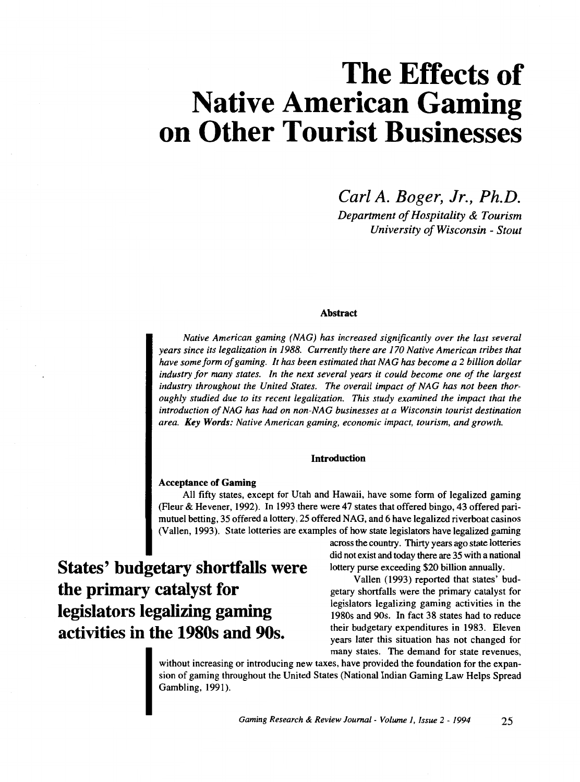# **The Effects of Native American Gaming on Other Tourist Businesses**

*Carl A. Boger, Jr., Ph.D. Department of Hospitality* & *Tourism University of Wisconsin* - *Stout* 

# Abstract

*Native American gaming (NAG) has increased significantly over the last several years since its Legalization in I988. Currently there are I70 Native American tribes that have some form of gaming. It has been estimated that NAG has become a 2 billion dollar industry for many states. In the next several years it could become one of the Largest industry throughout the United States. The overall impact of NAG has not been thoroughly studied due to its recent Legalization. This study examined the impact that the introduction of NAG has* had *on non-NAG businesses at a Wisconsin tourist destination area. Key Words: Native American gaming, economic impact, tourism, and growth.* 

# **Introduction**

# Acceptance of Gaming

**States' budgetary shortfalls were** 

**the primary catalyst for** 

**legislators legalizing gaming** 

**activities in the 1980s and 90s.** 

All fifty states, except for Utah and Hawaii, have some form of legalized gaming (Fleur & Hevener, 1992). In 1993 there were 47 states that offered bingo, 43 offered parimutuel betting, 35 offered a lottery, 25 offered NAG, and 6 have legalized riverboat casinos (Vallen, 1993). State lotteries are examples of how state legislators have legalized gaming

> across the country. Thirty years ago state lotteries did not exist and today there are 35 with a national lottery purse exceeding \$20 billion annually.

Vallen (1993) reported that states' budgetary shortfalls were the primary catalyst for legislators legalizing gaming activities in the 1980s and 90s. In fact 38 states had to reduce their budgetary expenditures in 1983. Eleven years later this situation has not changed for many states. The demand for state revenues,

without increasing or introducing new taxes, have provided the foundation for the expansion of gaming throughout the United States (National Indian Gaming Law Helps Spread Gambling, 1991).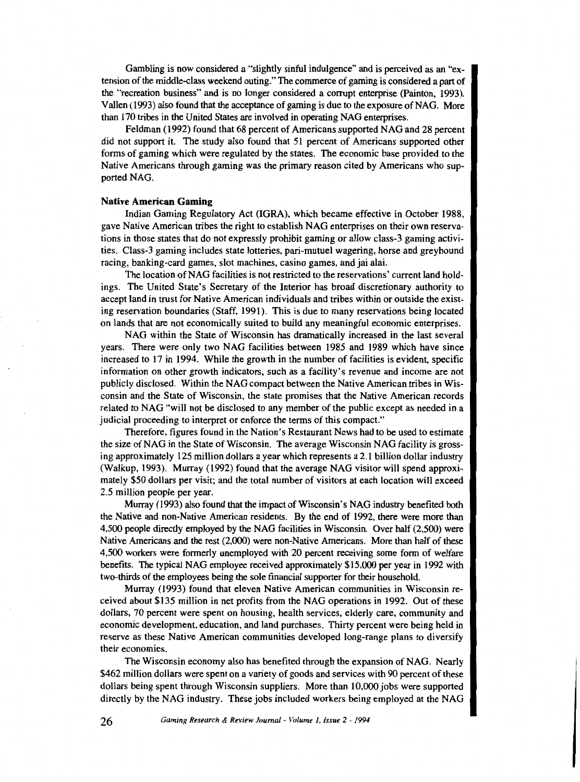Gambling is now considered a "slightly sinful indulgence" and is perceived as an "extension of the middle-class weekend outing." The commerce of gaming is considered a part of the "recreation business" and is no longer considered a corrupt enterprise (Painton, 1993). Vallen (1993) also found that the acceptance of gaming is due to the exposure of NAG. More than 170 tribes in the United States are involved in operating NAG enterprises.

Feldman (1992) found that 68 percent of Americans supported NAG and 28 percent did not support it. The study also found that 51 percent of Americans supported other forms of gaming which were regulated by the states. The economic base provided to the Native Americans through gaming was the primary reason cited by Americans who supported NAG.

#### **Native American Gaming**

Indian Gaming Regulatory Act (IGRA), which became effective in October 1988, gave Native American tribes the right to establish NAG enterprises on their own reservations in those states that do not expressly prohibit gaming or allow class-3 gaming activities. Class-3 gaming includes state lotteries, pari-mutuel wagering, horse and greyhound racing, banking-card games, slot machines, casino games, and jai alai.

The location of NAG facilities is not restricted to the reservations' current land holdings. The United State's Secretary of the Interior has broad discretionary authority to accept land in trust for Native American individuals and tribes within or outside the existing reservation boundaries (Staff, 1991). This is due to many reservations being located on lands that are not economically suited to build any meaningful economic enterprises.

NAG within the State of Wisconsin has dramatically increased in the last several years. There were only two NAG facilities between 1985 and 1989 which have since increased to 17 in 1994. While the growth in the number of facilities is evident, specific information on other growth indicators, such as a facility's revenue and income are not publicly disclosed. Within the NAG compact between the Native American tribes in Wisconsin and the State of Wisconsin, the state promises that the Native American records related to NAG "will not be disclosed to any member of the public except as needed in a judicial proceeding to interpret or enforce the terms of this compact."

Therefore, figures found in the Nation's Restaurant News had to be used to estimate the size of NAG in the State of Wisconsin. The average Wisconsin NAG facility is grossing approximately 125 million dollars a year which represents a 2.1 billion dollar industry (Walkup, 1993). Murray (1992) found that the average NAG visitor will spend approximately \$50 dollars per visit; and the total number of visitors at each location will exceed 2.5 million people per year.

Murray (1993) also found that the impact of Wisconsin's NAG industry benefited both the Native and non-Native American residents. By the end of 1992, there were more than 4,500 people directly employed by the NAG facilities in Wisconsin. Over half (2,500) were Native Americans and the rest (2,000) were non-Native Americans. More than half of these 4,500 workers were formerly unemployed with 20 percent receiving some form of welfare benefits. The typical NAG employee received approximately \$15,000 per year in 1992 with two-thirds of the employees being the sole financial supporter for their household.

Murray (1993) found that eleven Native American communities in Wisconsin received about \$135 million in net profits from the NAG operations in 1992. Out of these dollars, 70 percent were spent on housing, health services, elderly care, community and economic development, education, and land purchases. Thirty percent were being held in reserve as these Native American communities developed long-range plans to diversify their economies.

The Wisconsin economy also has benefited through the expansion of NAG. Nearly \$462 million dollars were spent on a variety of goods and services with 90 percent of these dollars being spent through Wisconsin suppliers. More than 10,000 jobs were supported directly by the NAG industry. These jobs included workers being employed at the NAG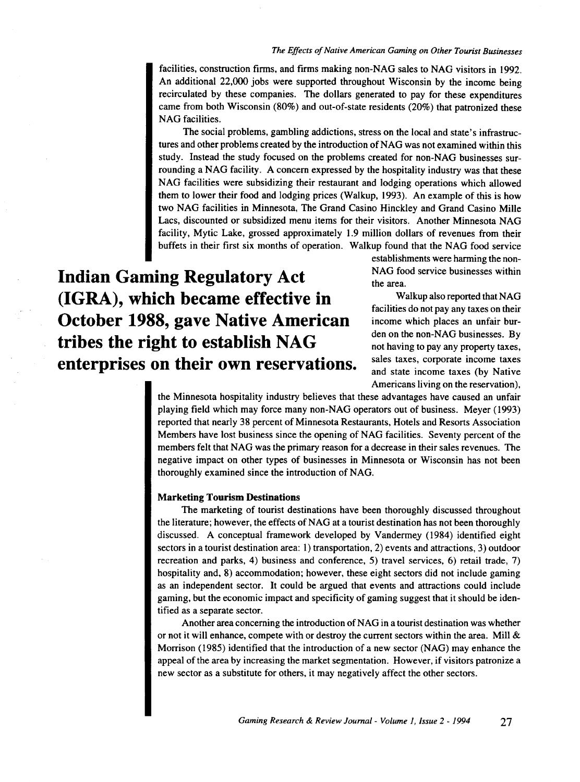#### *The Effects of Native American Gaming on Other Tourist Businesses*

facilities, construction firms, and firms making non-NAG sales to NAG visitors in 1992. An additional 22,000 jobs were supported throughout Wisconsin by the income being recirculated by these companies. The dollars generated to pay for these expenditures came from both Wisconsin (80%) and out-of-state residents (20%) that patronized these NAG facilities.

The social problems, gambling addictions, stress on the local and state's infrastructures and other problems created by the introduction of NAG was not examined within this study. Instead the study focused on the problems created for non-NAG businesses surrounding a NAG facility. A concern expressed by the hospitality industry was that these NAG facilities were subsidizing their restaurant and lodging operations which allowed them to lower their food and lodging prices (Walkup, 1993). An example of this is how two NAG facilities in Minnesota, The Grand Casino Hinckley and Grand Casino Mille Lacs, discounted or subsidized menu items for their visitors. Another Minnesota NAG facility, Mytic Lake, grossed approximately 1.9 million dollars of revenues from their buffets in their first six months of operation. Walkup found that the NAG food service

**Indian Gaming Regulatory Act (IGRA), which became effective in October 1988, gave Native American tribes the right to establish NAG enterprises on their own reservations.**  establishments were harming the non-NAG food service businesses within the area.

Walkup also reported that NAG facilities do not pay any taxes on their income which places an unfair burden on the non-NAG businesses. By not having to pay any property taxes, sales taxes, corporate income taxes and state income taxes (by Native Americans living on the reservation),

the Minnesota hospitality industry believes that these advantages have caused an unfair playing field which may force many non-NAG operators out of business. Meyer (1993) reported that nearly 38 percent of Minnesota Restaurants, Hotels and Resorts Association Members have lost business since the opening of NAG facilities. Seventy percent of the members felt that NAG was the primary reason for a decrease in their sales revenues. The negative impact on other types of businesses in Minnesota or Wisconsin has not been thoroughly examined since the introduction of NAG.

#### **Marketing Tourism Destinations**

The marketing of tourist destinations have been thoroughly discussed throughout the literature; however, the effects of NAG at a tourist destination has not been thoroughly discussed. A conceptual framework developed by Vandermey (1984) identified eight sectors in a tourist destination area: 1) transportation, 2) events and attractions, 3) outdoor recreation and parks, 4) business and conference, 5) travel services, 6) retail trade, 7) hospitality and, 8) accommodation; however, these eight sectors did not include gaming as an independent sector. It could be argued that events and attractions could include gaming, but the economic impact and specificity of gaming suggest that it should be identified as a separate sector.

Another area concerning the introduction of NAG in a tourist destination was whether or not it will enhance, compete with or destroy the current sectors within the area. Mill  $\&$ Morrison (1985) identified that the introduction of a new sector (NAG) may enhance the appeal of the area by increasing the market segmentation. However, if visitors patronize a new sector as a substitute for others, it may negatively affect the other sectors.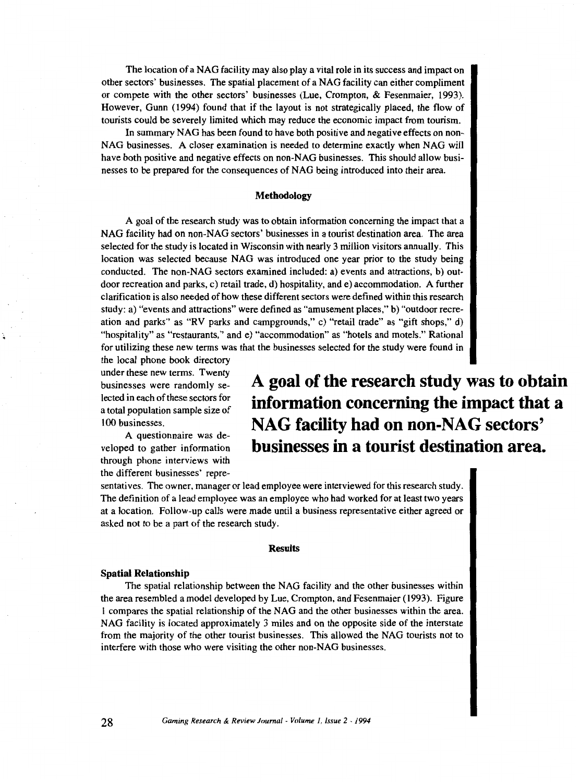The location of a NAG facility may also play a vital role in its success and impact on other sectors' businesses. The spatial placement of a NAG facility can either compliment or compete with the other sectors' businesses (Lue, Crompton, & Fesenmaier, 1993). However, Gunn (1994) found that if the layout is not strategically placed, the flow of tourists could be severely limited which may reduce the economic impact from tourism.

In summary NAG has been found to have both positive and negative effects on non-NAG businesses. A closer examination is needed to determine exactly when NAG will have both positive and negative effects on non-NAG businesses. This should allow businesses to be prepared for the consequences of NAG being introduced into their area.

### **Methodology**

A goal of the research study was to obtain information concerning the impact that a NAG facility had on non-NAG sectors' businesses in a tourist destination area. The area selected for the study is located in Wisconsin with nearly 3 million visitors annually. This location was selected because NAG was introduced one year prior to the study being conducted. The non-NAG sectors examined included: a) events and attractions, b) outdoor recreation and parks, c) retail trade, d) hospitality, and e) accommodation. A further clarification is also needed of how these different sectors were defined within this research study: a) "events and attractions" were defined as "amusement places," b) "outdoor recreation and parks" as "RV parks and campgrounds," c) "retail trade" as "gift shops," d) "hospitality" as "restaurants," and e) "accommodation" as "hotels and motels." Rational for utilizing these new terms was that the businesses selected for the study were found in

the local phone book directory under these new terms. Twenty businesses were randomly selected in each of these sectors for a total population sample size of 100 businesses.

A questionnaire was developed to gather information through phone interviews with the different businesses' repre**A goal of the research study was to obtain information concerning the impact that a NAG facility had on non-NAG sectors' businesses in a tourist destination area.** 

sentatives. The owner, manager or lead employee were interviewed for this research study. The definition of a lead employee was an employee who had worked for at least two years at a location. Follow-up calls were made until a business representative either agreed or asked not to be a part of the research study.

#### **Results**

#### **Spatial Relationship**

The spatial relationship between the NAG facility and the other businesses within the area resembled a model developed by Lue, Crompton, and Fesenmaier ( 1993). Figure I compares the spatial relationship of the NAG and the other businesses within the area. NAG facility is located approximately 3 miles and on the opposite side of the interstate from the majority of the other tourist businesses. This allowed the NAG tourists not to interfere with those who were visiting the other non-NAG businesses.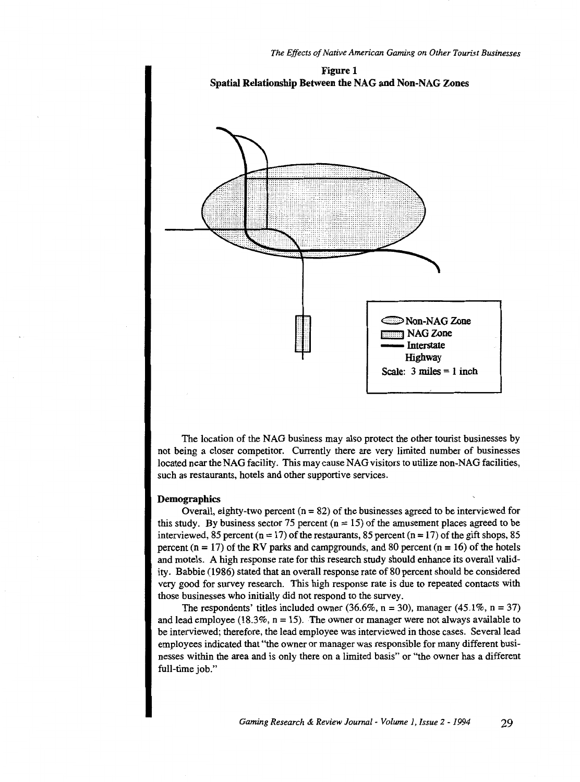



The location of the NAG business may also protect the other tourist businesses by not being a closer competitor. Currently there are very limited number of businesses located near the NAG facility. This may cause NAG visitors to utilize non-NAG facilities, such as restaurants, hotels and other supportive services.

## Demographics

Overall, eighty-two percent  $(n = 82)$  of the businesses agreed to be interviewed for this study. By business sector 75 percent  $(n = 15)$  of the amusement places agreed to be interviewed, 85 percent ( $n = 17$ ) of the restaurants, 85 percent ( $n = 17$ ) of the gift shops, 85 percent  $(n = 17)$  of the RV parks and campgrounds, and 80 percent  $(n = 16)$  of the hotels and motels. A high response rate for this research study should enhance its overall validity. Babbie (1986) stated that an overall response rate of 80 percent should be considered very good for survey research. This high response rate is due to repeated contacts with those businesses who initially did not respond to the survey.

The respondents' titles included owner (36.6%,  $n = 30$ ), manager (45.1%,  $n = 37$ ) and lead employee (18.3%,  $n = 15$ ). The owner or manager were not always available to be interviewed; therefore, the lead employee was interviewed in those cases. Several lead employees indicated that "the owner or manager was responsible for many different businesses within the area and is only there on a limited basis" or "the owner has a different full-time job."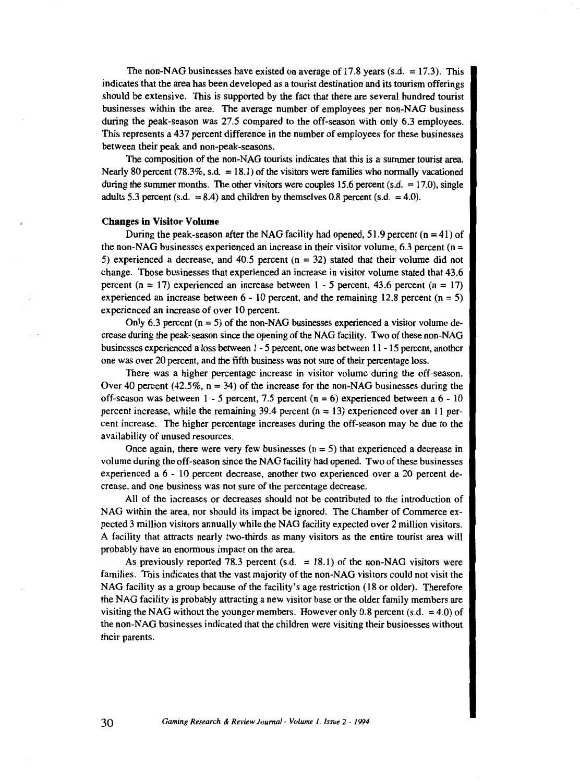The non-NAG businesses have existed on average of 17.8 years (s.d. = 17.3). This indicates that the area has been developed as a tourist destination and its tourism offerings should be extensive. This is supported by the fact that there are several hundred tourist businesses within the area. The average number of employees per non-NAG business during the peak-season was 27.5 compared to the off-season with only 6.3 employees. This represents a 437 percent difference in the number of employees for these businesses between their peak and non-peak-seasons.

The composition of the non-NAG tourists indicates that this is a summer tourist area. Nearly 80 percent  $(78.3\%, \text{s.d.} = 18.1)$  of the visitors were families who normally vacationed during the summer months. The other visitors were couples 15.6 percent (s.d.  $= 17.0$ ), single adults 5.3 percent (s.d.  $= 8.4$ ) and children by themselves 0.8 percent (s.d.  $= 4.0$ ).

#### Changes in Visitor Volume

During the peak-season after the NAG facility had opened,  $51.9$  percent ( $n = 41$ ) of the non-NAG businesses experienced an increase in their visitor volume,  $6.3$  percent ( $n =$ 5) experienced a decrease, and 40.5 percent (n = 32) stated that their volume did not change. Those businesses that experienced an increase in visitor volume stated that 43.6 percent  $(n = 17)$  experienced an increase between  $1 - 5$  percent, 43.6 percent  $(n = 17)$ experienced an increase between  $6 - 10$  percent, and the remaining 12.8 percent  $(n = 5)$ experienced an increase of over 10 percent.

Only 6.3 percent  $(n = 5)$  of the non-NAG businesses experienced a visitor volume decrease during the peak-season since the opening of the NAG facility. Two of these non-NAG businesses experienced a loss between 1 - 5 percent, one was between 11 - 15 percent, another one was over 20 percent, and the fifth business was not sure of their percentage loss.

There was a higher percentage increase in visitor volume during the off-season. Over 40 percent (42.5%,  $n = 34$ ) of the increase for the non-NAG businesses during the off-season was between 1 - 5 percent, 7.5 percent (n = 6) experienced between a 6- 10 percent increase, while the remaining 39.4 percent  $(n = 13)$  experienced over an 11 percent increase. The higher percentage increases during the off-season may be due to the availability of unused resources.

Once again, there were very few businesses (n = 5) that experienced a decrease in volume during the off-season since the NAG facility had opened. Two of these businesses experienced a 6 - 10 percent decrease, another two experienced over a 20 percent decrease, and one business was not sure of the percentage decrease.

All of the increases or decreases should not be contributed to the introduction of NAG within the area, nor should its impact be ignored. The Chamber of Commerce expected 3 million visitors annually while the NAG facility expected over 2 million visitors. A facility that attracts nearly two-thirds as many visitors as the entire tourist area will probably have an enormous impact on the area.

As previously reported 78.3 percent  $(s.d. = 18.1)$  of the non-NAG visitors were families. This indicates that the vast majority of the non-NAG visitors could not visit the NAG facility as a group because of the facility's age restriction (18 or older). Therefore the NAG facility is probably attracting a new visitor base or the older family members are visiting the NAG without the younger members. However only 0.8 percent (s.d.  $=$  4.0) of the non-NAG businesses indicated that the children were visiting their businesses without their parents.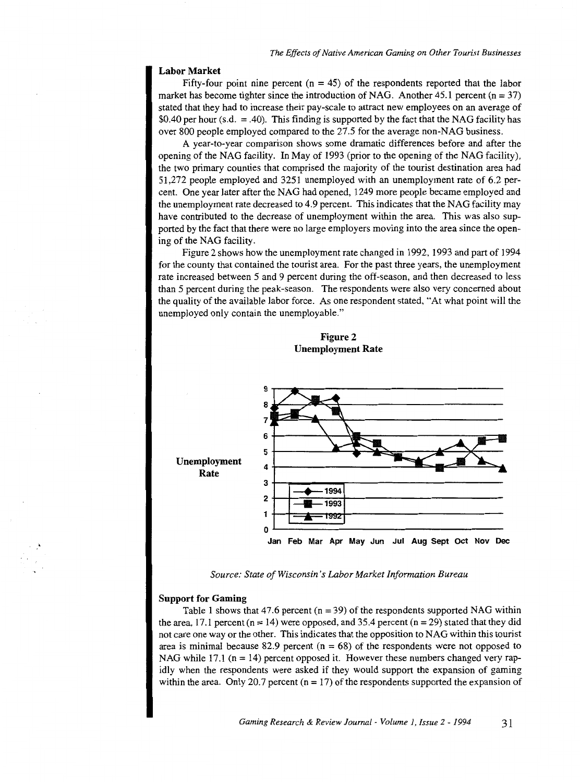## **Labor Market**

Fifty-four point nine percent ( $n = 45$ ) of the respondents reported that the labor market has become tighter since the introduction of NAG. Another  $45.1$  percent (n = 37) stated that they had to increase their pay-scale to attract new employees on an average of \$0.40 per hour (s.d. = .40). This finding is supported by the fact that the NAG facility has over 800 people employed compared to the 27.5 for the average non-NAG business.

A year-to-year comparison shows some dramatic differences before and after the opening of the NAG facility. In May of 1993 (prior to the opening of the NAG facility), the two primary counties that comprised the majority of the tourist destination area had 51,272 people employed and 3251 unemployed with an unemployment rate of 6.2 percent. One year later after the NAG had opened, 1249 more people became employed and the unemployment rate decreased to 4.9 percent. This indicates that the NAG facility may have contributed to the decrease of unemployment within the area. This was also supported by the fact that there were no large employers moving into the area since the opening of the NAG facility.

Figure 2 shows how the unemployment rate changed in 1992, 1993 and part of 1994 for the county that contained the tourist area. For the past three years, the unemployment rate increased between 5 and 9 percent during the off-season, and then decreased to less than 5 percent during the peak-season. The respondents were also very concerned about the quality of the available labor force. As one respondent stated, "At what point will the unemployed only contain the unemployable."





*Source: State of Wisconsin's Labor Market Information Bureau* 

#### **Support for Gaming**

Table 1 shows that 47.6 percent ( $n = 39$ ) of the respondents supported NAG within the area, 17.1 percent ( $n = 14$ ) were opposed, and 35.4 percent ( $n = 29$ ) stated that they did not care one way or the other. This indicates that the opposition to NAG within this tourist area is minimal because 82.9 percent ( $n = 68$ ) of the respondents were not opposed to NAG while 17.1 ( $n = 14$ ) percent opposed it. However these numbers changed very rapidly when the respondents were asked if they would support the expansion of gaming within the area. Only 20.7 percent  $(n = 17)$  of the respondents supported the expansion of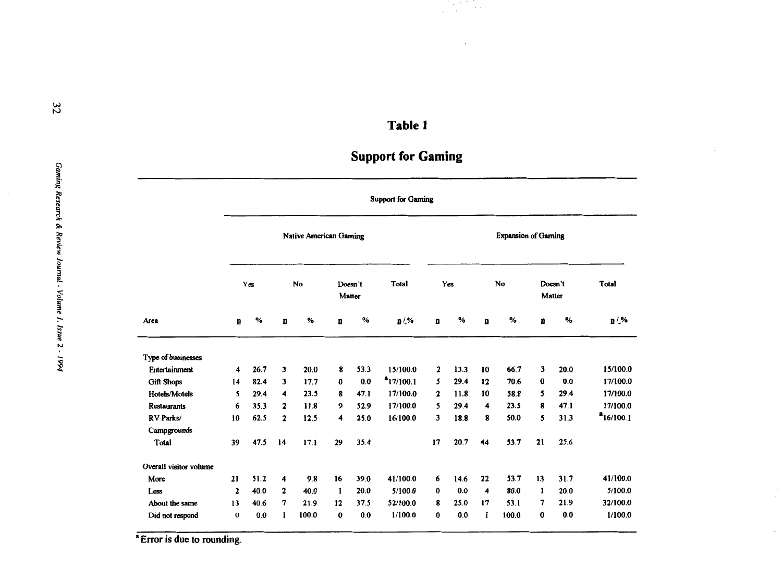# **Table 1**

# **Support for Gaming**

|                        | <b>Support for Gaming</b>     |      |              |       |          |                   |                |                            |      |    |       |                         |      |                |
|------------------------|-------------------------------|------|--------------|-------|----------|-------------------|----------------|----------------------------|------|----|-------|-------------------------|------|----------------|
|                        | <b>Native American Gaming</b> |      |              |       |          |                   |                | <b>Expansion of Gaming</b> |      |    |       |                         |      |                |
|                        | Yes                           |      |              | No    |          | Doesn't<br>Matter | Total          | Yes                        |      | No |       | Doesn't<br>Matter       |      | Total          |
| Area                   | D                             | $\%$ | ū            | %     | D        | $\%$              | <b>n</b> / %   | D                          | $\%$ | n  | $\%$  | D                       | %    | $n/$ %         |
| Type of businesses     |                               |      |              |       |          |                   |                |                            |      |    |       |                         |      |                |
| <b>Entertainment</b>   | 4                             | 26.7 | 3            | 20.0  | 8        | 53.3              | 15/100.0       | $\mathbf{2}$               | 13.3 | 10 | 66.7  | $\overline{\mathbf{3}}$ | 20.0 | 15/100.0       |
| <b>Gift Shops</b>      | 14                            | 82.4 | 3            | 17.7  | $\bf{0}$ | 0.0               | $a_{17/100.1}$ | 5                          | 29.4 | 12 | 70.6  | $\bf{0}$                | 0.0  | 17/100.0       |
| Hotels/Motels          | 5                             | 29.4 | 4            | 23.5  | 8        | 47.1              | 17/100.0       | $\mathbf{2}$               | 11.8 | 10 | 58.8  | 5                       | 29.4 | 17/100.0       |
| <b>Restaurants</b>     | 6                             | 35.3 | $\mathbf{2}$ | 11.8  | 9        | 52.9              | 17/100.0       | 5                          | 29.4 | 4  | 23.5  | 8                       | 47.1 | 17/100.0       |
| RV Parks/              | 10                            | 62.5 | $\mathbf{2}$ | 12.5  | 4        | 25.0              | 16/100.0       | 3                          | 18.8 | 8  | 50.0  | 5                       | 31.3 | $a_{16/100.1}$ |
| Campgrounds            |                               |      |              |       |          |                   |                |                            |      |    |       |                         |      |                |
| Total                  | 39                            | 47.5 | 14           | 17.1  | 29       | 35.4              |                | 17                         | 20.7 | 44 | 53.7  | 21                      | 25.6 |                |
| Overall visitor volume |                               |      |              |       |          |                   |                |                            |      |    |       |                         |      |                |
| More                   | 21                            | 51.2 | 4            | 9.8   | 16       | 39.0              | 41/100.0       | 6                          | 14.6 | 22 | 53.7  | 13                      | 31.7 | 41/100.0       |
| Less                   | $\mathbf{2}$                  | 40.0 | 2            | 40.0  | -1       | 20.0              | 5/100.0        | 0                          | 0.0  | 4  | 80.0  | 1                       | 20.0 | 5/100.0        |
| About the same         | 13                            | 40.6 | 7            | 21.9  | 12       | 37.5              | 52/100.0       | 8                          | 25.0 | 17 | 53.1  | 7                       | 21.9 | 32/100.0       |
| Did not respond        | $\bf{0}$                      | 0.0  | 1            | 100.0 | $\bf{0}$ | 0.0               | 1/100.0        | 0                          | 0.0  | 1  | 100.0 | 0                       | 0.0  | 1/100.0        |

<sup>\*</sup> Error is due to rounding.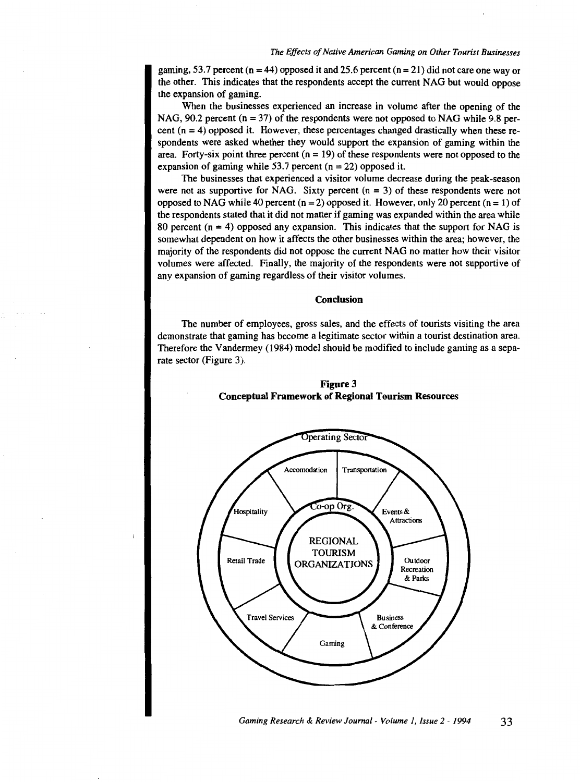gaming, 53.7 percent ( $n = 44$ ) opposed it and 25.6 percent ( $n = 21$ ) did not care one way or the other. This indicates that the respondents accept the current NAG but would oppose the expansion of gaming.

When the businesses experienced an increase in volume after the opening of the NAG, 90.2 percent ( $n = 37$ ) of the respondents were not opposed to NAG while 9.8 percent  $(n = 4)$  opposed it. However, these percentages changed drastically when these respondents were asked whether they would support the expansion of gaming within the area. Forty-six point three percent  $(n = 19)$  of these respondents were not opposed to the expansion of gaming while 53.7 percent ( $n = 22$ ) opposed it.

The businesses that experienced a visitor volume decrease during the peak-season were not as supportive for NAG. Sixty percent  $(n = 3)$  of these respondents were not opposed to NAG while 40 percent  $(n = 2)$  opposed it. However, only 20 percent  $(n = 1)$  of the respondents stated that it did not matter if gaming was expanded within the area while 80 percent  $(n = 4)$  opposed any expansion. This indicates that the support for NAG is somewhat dependent on how it affects the other businesses within the area; however, the majority of the respondents did not oppose the current NAG no matter how their visitor volumes were affected. Finally, the majority of the respondents were not supportive of any expansion of gaming regardless of their visitor volumes.

# Conclusion

The number of employees, gross sales, and the effects of tourists visiting the area demonstrate that gaming has become a legitimate sector within a tourist destination area. Therefore the Vandermey (1984) model should be modified to include gaming as a separate sector (Figure 3).



Figure 3 Conceptual Framework of Regional Tourism Resources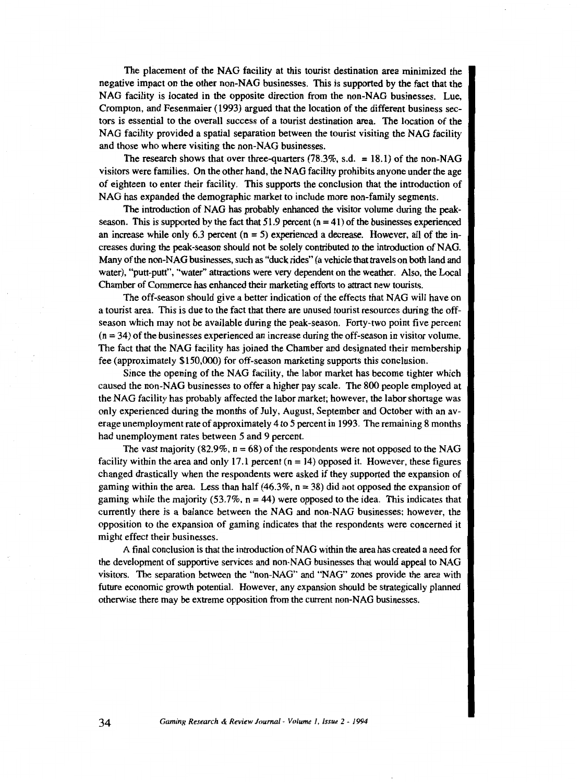The placement of the NAG facility at this tourist destination area minimized the negative impact on the other non-NAG businesses. This is supported by the fact that the NAG facility is located in the opposite direction from the non-NAG businesses. Lue, Crompton, and Fesenmaier (1993) argued that the location of the different business sectors is essential to the overall success of a tourist destination area. The location of the NAG facility provided a spatial separation between the tourist visiting the NAG facility and those who where visiting the non-NAG businesses.

The research shows that over three-quarters  $(78.3\% , s.d. = 18.1)$  of the non-NAG visitors were families. On the other hand, the NAG facility prohibits anyone under the age of eighteen to enter their facility. This supports the conclusion that the introduction of NAG has expanded the demographic market to include more non-family segments.

The introduction of NAG has probably enhanced the visitor volume during the peakseason. This is supported by the fact that  $51.9$  percent ( $n = 41$ ) of the businesses experienced an increase while only 6.3 percent  $(n = 5)$  experienced a decrease. However, all of the increases during the peak-season should not be solely contributed to the introduction of NAG. Many of the non-NAG businesses, such as "duck rides" (a vehicle that travels on both land and water), "putt-putt", "water" attractions were very dependent on the weather. Also, the Local Chamber of Commerce has enhanced their marketing efforts to attract new tourists.

The off-season should give a better indication of the effects that NAG will have on a tourist area. This is due to the fact that there are unused tourist resources during the offseason which may not be available during the peak-season. Forty-two point five percent  $(n = 34)$  of the businesses experienced an increase during the off-season in visitor volume. The fact that the NAG facility has joined the Chamber and designated their membership fee (approximately \$150,000) for off-season marketing supports this conclusion.

Since the opening of the NAG facility, the labor market has become tighter which caused the non-NAG businesses to offer a higher pay scale. The 800 people employed at the NAG facility has probably affected the labor market; however, the labor shortage was only experienced during the months of July, August, September and October with an average unemployment rate of approximately 4 to 5 percent in 1993. The remaining 8 months had unemployment rates between 5 and 9 percent.

The vast majority (82.9%,  $n = 68$ ) of the respondents were not opposed to the NAG facility within the area and only 17.1 percent (n = 14) opposed it. However, these figures changed drastically when the respondents were asked if they supported the expansion of gaming within the area. Less than half  $(46.3\%, n = 38)$  did not opposed the expansion of gaming while the majority (53.7%,  $n = 44$ ) were opposed to the idea. This indicates that currently there is a balance between the NAG and non-NAG businesses; however, the opposition to the expansion of gaming indicates that the respondents were concerned it might effect their businesses.

A final conclusion is that the introduction of NAG within the area has created a need for the development of supportive services and non-NAG businesses that would appeal to NAG visitors. The separation between the "non-NAG" and "NAG" zones provide the area with future economic growth potential. However, any expansion should be strategically planned otherwise there may be extreme opposition from the current non-NAG businesses.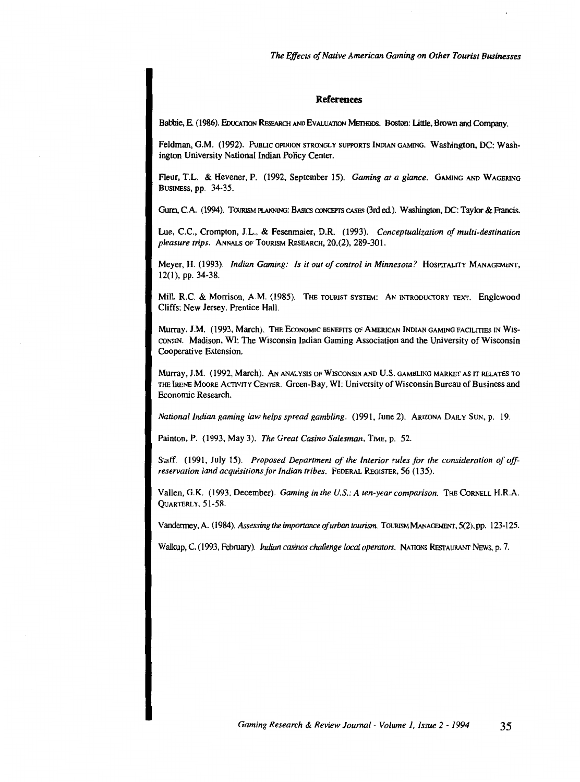#### **References**

Babbie, E. (1986). EDUCATION RESEARCH AND EVALUATION METHODS. Boston: Little, Brown and Company.

Feldman, G.M. (1992). PuBLIC OPINJON STRONGLY SUPPORTS INDIAN GAMING. Washington, DC: Washington University National Indian Policy Center.

Fleur, T.L. & Hevener, P. (1992, September 15). *Gaming at a glance.* GAMING AND WAGERING BUSINESS, pp. 34-35.

Gunn, C.A. (1994). TOURISM PlANNING: BASICS CDNCEPrS CASES (3rd ed.). Washington, DC: Taylor & Francis.

Lue, C.C., Crompton, J.L., & Fesenmaier, D.R. (1993). *Conceptualization of multi-destination pleasure trips.* ANNALS OF TOURISM REsEARCH, 20,(2), 289-301.

Meyer, H. (1993). *Indian Gaming: Is it out of control in Minnesota?* HoSPITALITY MANAGEMENT, 12(1), pp. 34-38.

Mill, R.C. & Morrison, A.M. (1985). THE TOURIST SYSTEM: AN INTRODUCTORY TEXT. Englewood Cliffs: New Jersey. Prentice Hall.

Murray, J.M. (1993, March). The ECONOMIC BENEFITS OF AMERICAN INDIAN GAMING FACILITIES IN WIS-CONSIN. Madison, WI: The Wisconsin Indian Gaming Association and the University of Wisconsin Cooperative Extension.

Murray, J.M. (1992, March). AN ANALYSIS OF WISCONSIN AND U.S. GAMBLING MARKET AS IT RELATES TO THE IRENE MooRE ACTIVITY CENTER. Green-Bay, WI: University of Wisconsin Bureau of Business and Economic Research.

*National Indian gaming law helps spread gambling.* (1991, June 2). ARIZONA DAILY SuN, p. 19.

Painton, P. (1993, May 3). *The Great Casino Salesman*, TIME, p. 52.

Staff. (1991, July 15). *Proposed Department of the Interior rules for the consideration of offreservation land acquisitions for Indian tribes.* FEDERAL REGISTER, 56 (135).

Vallen, G.K. (1993, December). *Gaming in the U.S.: A ten-year comparison*. THE CORNELL H.R.A. QUARTERLY, 51-58.

Vandermey, A. (1984). *Assessing the importance of urban tourism*. Tourism MANAGEMENT, 5(2), pp. 123-125.

Walkup, C. (1993, February). *Indian casinos challenge local operators.* NATIONS REsTAURANT NEWS, p. 7.